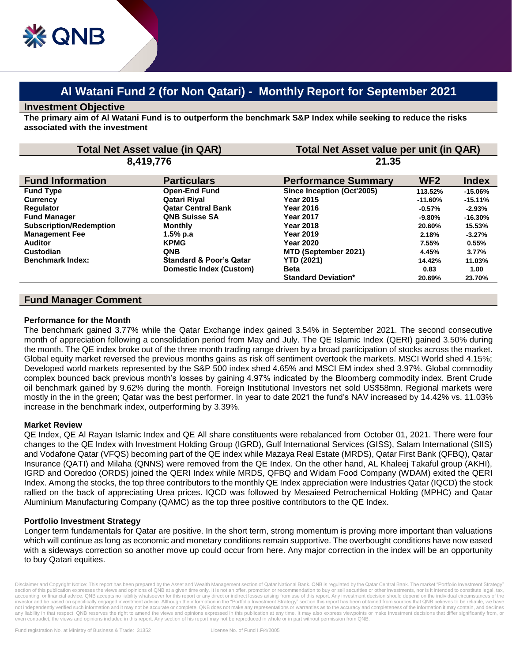# **Al Watani Fund 2 (for Non Qatari) - Monthly Report for September 2021**

### **Investment Objective**

**The primary aim of Al Watani Fund is to outperform the benchmark S&P Index while seeking to reduce the risks associated with the investment**

| 8,419,776<br>21.35<br>WF <sub>2</sub><br><b>Fund Information</b><br><b>Particulars</b><br><b>Index</b><br><b>Performance Summary</b><br><b>Open-End Fund</b><br>Since Inception (Oct'2005)<br><b>Fund Type</b><br>$-15.06%$<br>113.52%<br>Qatari Riyal<br>Year 2015<br><b>Currency</b><br>$-15.11%$<br>$-11.60%$<br><b>Qatar Central Bank</b><br><b>Requlator</b><br><b>Year 2016</b><br>$-0.57\%$<br>$-2.93%$<br><b>Fund Manager</b><br><b>QNB Suisse SA</b><br><b>Year 2017</b><br>$-9.80\%$<br>$-16.30%$<br><b>Subscription/Redemption</b><br><b>Monthly</b><br>Year 2018<br>20.60%<br>15.53%<br><b>Management Fee</b><br>1.5% p.a<br><b>Year 2019</b><br>2.18%<br>$-3.27%$<br><b>Auditor</b><br><b>KPMG</b><br><b>Year 2020</b><br>7.55%<br>0.55%<br>Custodian<br><b>QNB</b><br>MTD (September 2021)<br>4.45%<br>3.77%<br><b>Standard &amp; Poor's Qatar</b><br><b>YTD (2021)</b><br><b>Benchmark Index:</b><br>14.42%<br>11.03%<br>Domestic Index (Custom)<br><b>Beta</b><br>0.83<br>1.00<br><b>Standard Deviation*</b><br>20.69%<br>23.70% | <b>Total Net Asset value (in QAR)</b> |  | Total Net Asset value per unit (in QAR) |  |  |
|--------------------------------------------------------------------------------------------------------------------------------------------------------------------------------------------------------------------------------------------------------------------------------------------------------------------------------------------------------------------------------------------------------------------------------------------------------------------------------------------------------------------------------------------------------------------------------------------------------------------------------------------------------------------------------------------------------------------------------------------------------------------------------------------------------------------------------------------------------------------------------------------------------------------------------------------------------------------------------------------------------------------------------------------------|---------------------------------------|--|-----------------------------------------|--|--|
|                                                                                                                                                                                                                                                                                                                                                                                                                                                                                                                                                                                                                                                                                                                                                                                                                                                                                                                                                                                                                                                  |                                       |  |                                         |  |  |
|                                                                                                                                                                                                                                                                                                                                                                                                                                                                                                                                                                                                                                                                                                                                                                                                                                                                                                                                                                                                                                                  |                                       |  |                                         |  |  |
|                                                                                                                                                                                                                                                                                                                                                                                                                                                                                                                                                                                                                                                                                                                                                                                                                                                                                                                                                                                                                                                  |                                       |  |                                         |  |  |
|                                                                                                                                                                                                                                                                                                                                                                                                                                                                                                                                                                                                                                                                                                                                                                                                                                                                                                                                                                                                                                                  |                                       |  |                                         |  |  |
|                                                                                                                                                                                                                                                                                                                                                                                                                                                                                                                                                                                                                                                                                                                                                                                                                                                                                                                                                                                                                                                  |                                       |  |                                         |  |  |
|                                                                                                                                                                                                                                                                                                                                                                                                                                                                                                                                                                                                                                                                                                                                                                                                                                                                                                                                                                                                                                                  |                                       |  |                                         |  |  |
|                                                                                                                                                                                                                                                                                                                                                                                                                                                                                                                                                                                                                                                                                                                                                                                                                                                                                                                                                                                                                                                  |                                       |  |                                         |  |  |
|                                                                                                                                                                                                                                                                                                                                                                                                                                                                                                                                                                                                                                                                                                                                                                                                                                                                                                                                                                                                                                                  |                                       |  |                                         |  |  |
|                                                                                                                                                                                                                                                                                                                                                                                                                                                                                                                                                                                                                                                                                                                                                                                                                                                                                                                                                                                                                                                  |                                       |  |                                         |  |  |
|                                                                                                                                                                                                                                                                                                                                                                                                                                                                                                                                                                                                                                                                                                                                                                                                                                                                                                                                                                                                                                                  |                                       |  |                                         |  |  |
|                                                                                                                                                                                                                                                                                                                                                                                                                                                                                                                                                                                                                                                                                                                                                                                                                                                                                                                                                                                                                                                  |                                       |  |                                         |  |  |
|                                                                                                                                                                                                                                                                                                                                                                                                                                                                                                                                                                                                                                                                                                                                                                                                                                                                                                                                                                                                                                                  |                                       |  |                                         |  |  |
|                                                                                                                                                                                                                                                                                                                                                                                                                                                                                                                                                                                                                                                                                                                                                                                                                                                                                                                                                                                                                                                  |                                       |  |                                         |  |  |

## **Fund Manager Comment**

#### **Performance for the Month**

The benchmark gained 3.77% while the Qatar Exchange index gained 3.54% in September 2021. The second consecutive month of appreciation following a consolidation period from May and July. The QE Islamic Index (QERI) gained 3.50% during the month. The QE index broke out of the three month trading range driven by a broad participation of stocks across the market. Global equity market reversed the previous months gains as risk off sentiment overtook the markets. MSCI World shed 4.15%; Developed world markets represented by the S&P 500 index shed 4.65% and MSCI EM index shed 3.97%. Global commodity complex bounced back previous month's losses by gaining 4.97% indicated by the Bloomberg commodity index. Brent Crude oil benchmark gained by 9.62% during the month. Foreign Institutional Investors net sold US\$58mn. Regional markets were mostly in the in the green; Qatar was the best performer. In year to date 2021 the fund's NAV increased by 14.42% vs. 11.03% increase in the benchmark index, outperforming by 3.39%.

#### **Market Review**

QE Index, QE Al Rayan Islamic Index and QE All share constituents were rebalanced from October 01, 2021. There were four changes to the QE Index with Investment Holding Group (IGRD), Gulf International Services (GISS), Salam International (SIIS) and Vodafone Qatar (VFQS) becoming part of the QE index while Mazaya Real Estate (MRDS), Qatar First Bank (QFBQ), Qatar Insurance (QATI) and Milaha (QNNS) were removed from the QE Index. On the other hand, AL Khaleej Takaful group (AKHI), IGRD and Ooredoo (ORDS) joined the QERI Index while MRDS, QFBQ and Widam Food Company (WDAM) exited the QERI Index. Among the stocks, the top three contributors to the monthly QE Index appreciation were Industries Qatar (IQCD) the stock rallied on the back of appreciating Urea prices. IQCD was followed by Mesaieed Petrochemical Holding (MPHC) and Qatar Aluminium Manufacturing Company (QAMC) as the top three positive contributors to the QE Index.

#### **Portfolio Investment Strategy**

Longer term fundamentals for Qatar are positive. In the short term, strong momentum is proving more important than valuations which will continue as long as economic and monetary conditions remain supportive. The overbought conditions have now eased with a sideways correction so another move up could occur from here. Any major correction in the index will be an opportunity to buy Qatari equities.

Disclaimer and Copyright Notice: This report has been prepared by the Asset and Wealth Management section of Qatar National Bank. QNB is regulated by the Qatar Central Bank. The market "Portfolio Investment Strategy section of this publication expresses the views and opinions of QNB at a given time only. It is not an offer, promotion or recommendation to buy or sell securities or other investments, nor is it intended to constitute leg accounting, or financial advice. QNB accepts no liability whatsoever for this report or any direct or indirect losses arising from use of this report. Any investment decision should depend on the individual circumstances o investor and be based on specifically engaged investment advice. Although the information in the "Portfolio Investment Strategy" section this report has been obtained from sources that QNB believes to be reliable, we have not independently verified such information and it may not be accurate or complete. QNB does not make any representations or warranties as to the accuracy and completeness of the information it may contain, and declines<br>an even contradict, the views and opinions included in this report. Any section of his report may not be reproduced in whole or in part without permission from QNB.